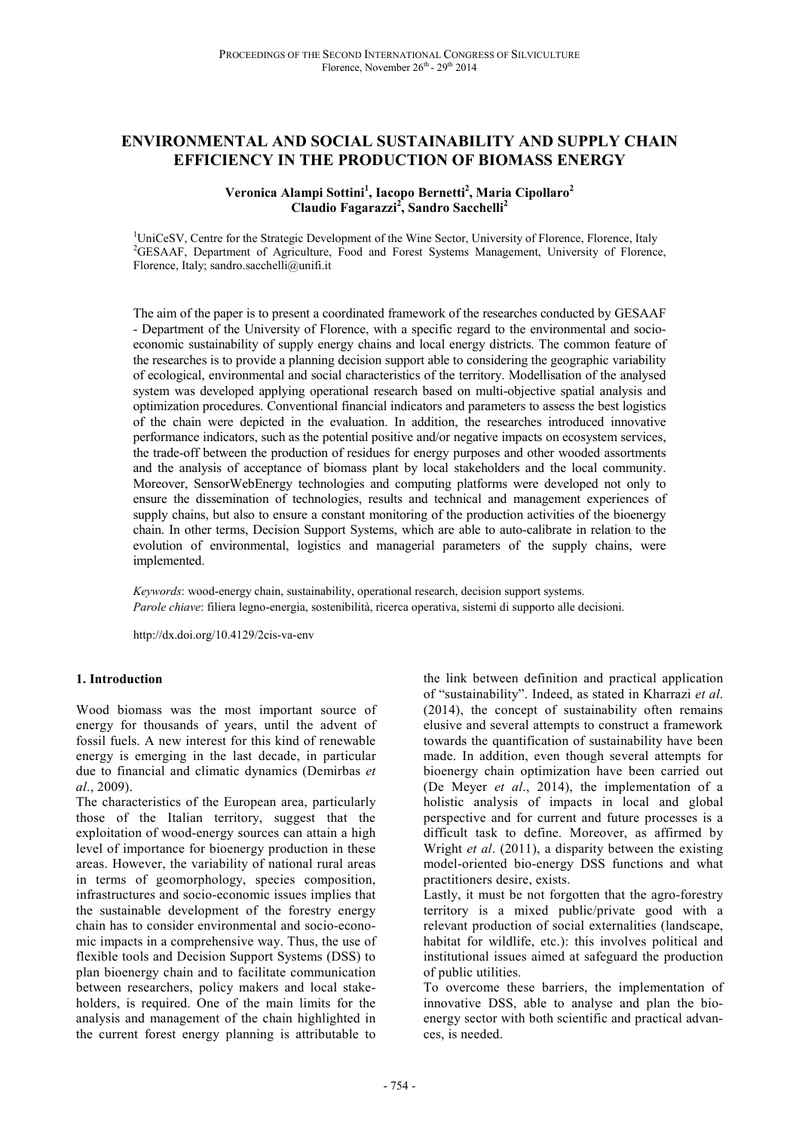# **ENVIRONMENTAL AND SOCIAL SUSTAINABILITY AND SUPPLY CHAIN EFFICIENCY IN THE PRODUCTION OF BIOMASS ENERGY**

## **Veronica Alampi Sottini<sup>1</sup> , Iacopo Bernetti<sup>2</sup> , Maria Cipollaro<sup>2</sup> Claudio Fagarazzi<sup>2</sup> , Sandro Sacchelli<sup>2</sup>**

<sup>1</sup>UniCeSV, Centre for the Strategic Development of the Wine Sector, University of Florence, Florence, Italy <sup>2</sup>GESAAF, Department of Agriculture, Food and Forest Systems Management, University of Florence, Florence, Italy; sandro.sacchelli@unifi.it

The aim of the paper is to present a coordinated framework of the researches conducted by GESAAF - Department of the University of Florence, with a specific regard to the environmental and socioeconomic sustainability of supply energy chains and local energy districts. The common feature of the researches is to provide a planning decision support able to considering the geographic variability of ecological, environmental and social characteristics of the territory. Modellisation of the analysed system was developed applying operational research based on multi-objective spatial analysis and optimization procedures. Conventional financial indicators and parameters to assess the best logistics of the chain were depicted in the evaluation. In addition, the researches introduced innovative performance indicators, such as the potential positive and/or negative impacts on ecosystem services, the trade-off between the production of residues for energy purposes and other wooded assortments and the analysis of acceptance of biomass plant by local stakeholders and the local community. Moreover, SensorWebEnergy technologies and computing platforms were developed not only to ensure the dissemination of technologies, results and technical and management experiences of supply chains, but also to ensure a constant monitoring of the production activities of the bioenergy chain. In other terms, Decision Support Systems, which are able to auto-calibrate in relation to the evolution of environmental, logistics and managerial parameters of the supply chains, were implemented.

*Keywords*: wood-energy chain, sustainability, operational research, decision support systems. *Parole chiave*: filiera legno-energia, sostenibilità, ricerca operativa, sistemi di supporto alle decisioni.

http://dx.doi.org/10.4129/2cis-va-env

#### **1. Introduction**

Wood biomass was the most important source of energy for thousands of years, until the advent of fossil fuels. A new interest for this kind of renewable energy is emerging in the last decade, in particular due to financial and climatic dynamics (Demirbas *et al*., 2009).

The characteristics of the European area, particularly those of the Italian territory, suggest that the exploitation of wood-energy sources can attain a high level of importance for bioenergy production in these areas. However, the variability of national rural areas in terms of geomorphology, species composition, infrastructures and socio-economic issues implies that the sustainable development of the forestry energy chain has to consider environmental and socio-economic impacts in a comprehensive way. Thus, the use of flexible tools and Decision Support Systems (DSS) to plan bioenergy chain and to facilitate communication between researchers, policy makers and local stakeholders, is required. One of the main limits for the analysis and management of the chain highlighted in the current forest energy planning is attributable to

the link between definition and practical application of "sustainability". Indeed, as stated in Kharrazi *et al*. (2014), the concept of sustainability often remains elusive and several attempts to construct a framework towards the quantification of sustainability have been made. In addition, even though several attempts for bioenergy chain optimization have been carried out (De Meyer *et al*., 2014), the implementation of a holistic analysis of impacts in local and global perspective and for current and future processes is a difficult task to define. Moreover, as affirmed by Wright *et al*. (2011), a disparity between the existing model-oriented bio-energy DSS functions and what practitioners desire, exists.

Lastly, it must be not forgotten that the agro-forestry territory is a mixed public/private good with a relevant production of social externalities (landscape, habitat for wildlife, etc.): this involves political and institutional issues aimed at safeguard the production of public utilities.

To overcome these barriers, the implementation of innovative DSS, able to analyse and plan the bioenergy sector with both scientific and practical advances, is needed.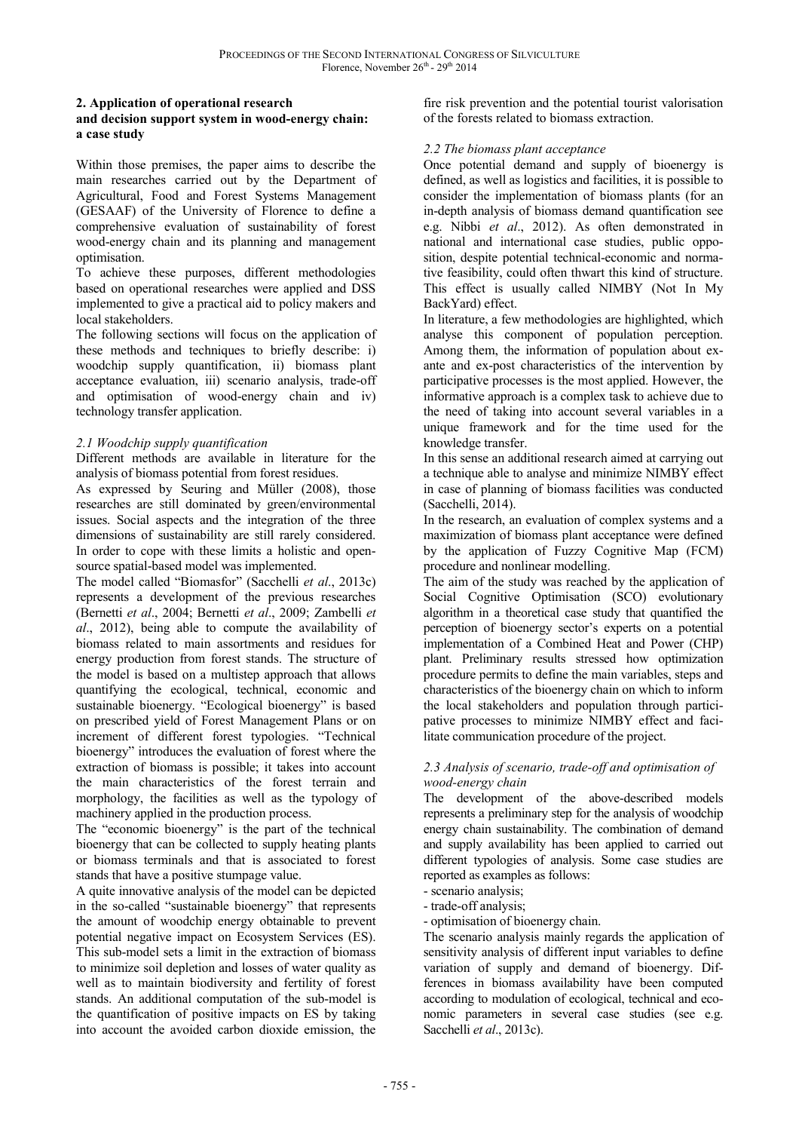## **2. Application of operational research**

### **and decision support system in wood-energy chain: a case study**

Within those premises, the paper aims to describe the main researches carried out by the Department of Agricultural, Food and Forest Systems Management (GESAAF) of the University of Florence to define a comprehensive evaluation of sustainability of forest wood-energy chain and its planning and management optimisation.

To achieve these purposes, different methodologies based on operational researches were applied and DSS implemented to give a practical aid to policy makers and local stakeholders.

The following sections will focus on the application of these methods and techniques to briefly describe: i) woodchip supply quantification, ii) biomass plant acceptance evaluation, iii) scenario analysis, trade-off and optimisation of wood-energy chain and iv) technology transfer application.

## *2.1 Woodchip supply quantification*

Different methods are available in literature for the analysis of biomass potential from forest residues.

As expressed by Seuring and Müller (2008), those researches are still dominated by green/environmental issues. Social aspects and the integration of the three dimensions of sustainability are still rarely considered. In order to cope with these limits a holistic and opensource spatial-based model was implemented.

The model called "Biomasfor" (Sacchelli *et al*., 2013c) represents a development of the previous researches (Bernetti *et al*., 2004; Bernetti *et al*., 2009; Zambelli *et al*., 2012), being able to compute the availability of biomass related to main assortments and residues for energy production from forest stands. The structure of the model is based on a multistep approach that allows quantifying the ecological, technical, economic and sustainable bioenergy. "Ecological bioenergy" is based on prescribed yield of Forest Management Plans or on increment of different forest typologies. "Technical bioenergy" introduces the evaluation of forest where the extraction of biomass is possible; it takes into account the main characteristics of the forest terrain and morphology, the facilities as well as the typology of machinery applied in the production process.

The "economic bioenergy" is the part of the technical bioenergy that can be collected to supply heating plants or biomass terminals and that is associated to forest stands that have a positive stumpage value.

A quite innovative analysis of the model can be depicted in the so-called "sustainable bioenergy" that represents the amount of woodchip energy obtainable to prevent potential negative impact on Ecosystem Services (ES). This sub-model sets a limit in the extraction of biomass to minimize soil depletion and losses of water quality as well as to maintain biodiversity and fertility of forest stands. An additional computation of the sub-model is the quantification of positive impacts on ES by taking into account the avoided carbon dioxide emission, the

fire risk prevention and the potential tourist valorisation of the forests related to biomass extraction.

## *2.2 The biomass plant acceptance*

Once potential demand and supply of bioenergy is defined, as well as logistics and facilities, it is possible to consider the implementation of biomass plants (for an in-depth analysis of biomass demand quantification see e.g. Nibbi *et al*., 2012). As often demonstrated in national and international case studies, public opposition, despite potential technical-economic and normative feasibility, could often thwart this kind of structure. This effect is usually called NIMBY (Not In My BackYard) effect.

In literature, a few methodologies are highlighted, which analyse this component of population perception. Among them, the information of population about exante and ex-post characteristics of the intervention by participative processes is the most applied. However, the informative approach is a complex task to achieve due to the need of taking into account several variables in a unique framework and for the time used for the knowledge transfer.

In this sense an additional research aimed at carrying out a technique able to analyse and minimize NIMBY effect in case of planning of biomass facilities was conducted (Sacchelli, 2014).

In the research, an evaluation of complex systems and a maximization of biomass plant acceptance were defined by the application of Fuzzy Cognitive Map (FCM) procedure and nonlinear modelling.

The aim of the study was reached by the application of Social Cognitive Optimisation (SCO) evolutionary algorithm in a theoretical case study that quantified the perception of bioenergy sector's experts on a potential implementation of a Combined Heat and Power (CHP) plant. Preliminary results stressed how optimization procedure permits to define the main variables, steps and characteristics of the bioenergy chain on which to inform the local stakeholders and population through participative processes to minimize NIMBY effect and facilitate communication procedure of the project.

## *2.3 Analysis of scenario, trade-off and optimisation of wood-energy chain*

The development of the above-described models represents a preliminary step for the analysis of woodchip energy chain sustainability. The combination of demand and supply availability has been applied to carried out different typologies of analysis. Some case studies are reported as examples as follows:

- scenario analysis;

- trade-off analysis;

- optimisation of bioenergy chain.

The scenario analysis mainly regards the application of sensitivity analysis of different input variables to define variation of supply and demand of bioenergy. Differences in biomass availability have been computed according to modulation of ecological, technical and economic parameters in several case studies (see e.g. Sacchelli *et al*., 2013c).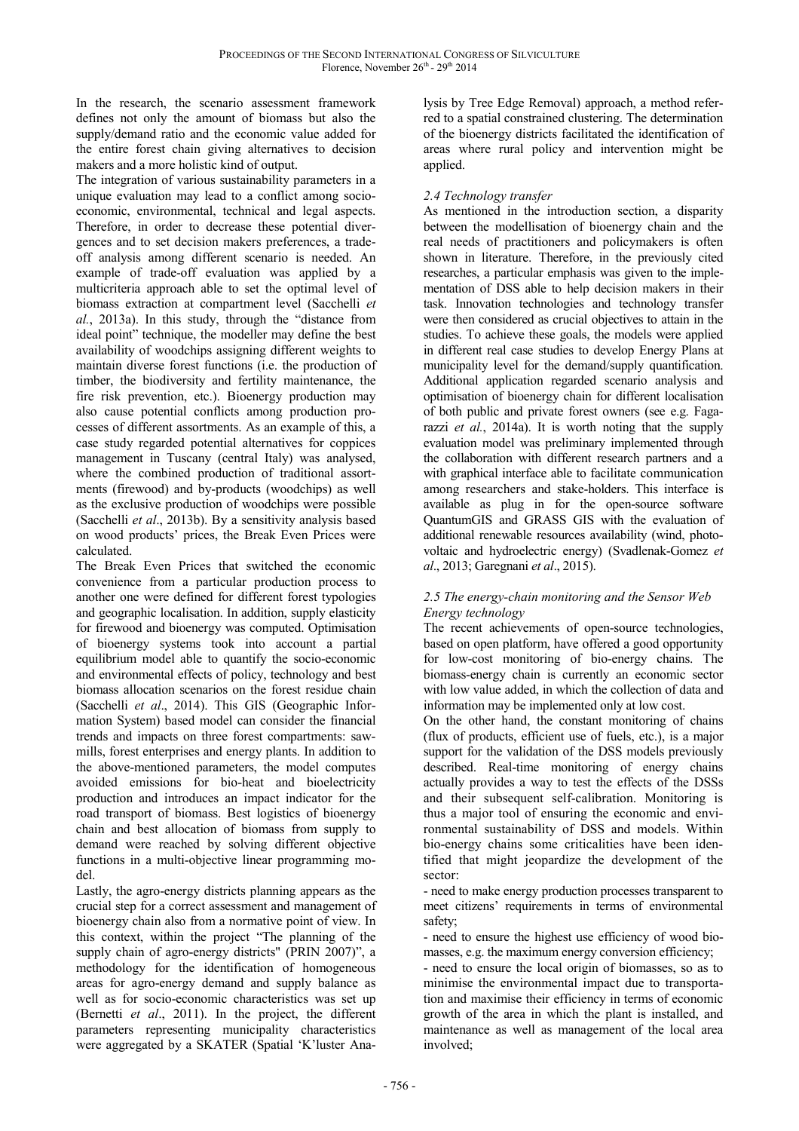In the research, the scenario assessment framework defines not only the amount of biomass but also the supply/demand ratio and the economic value added for the entire forest chain giving alternatives to decision makers and a more holistic kind of output.

The integration of various sustainability parameters in a unique evaluation may lead to a conflict among socioeconomic, environmental, technical and legal aspects. Therefore, in order to decrease these potential divergences and to set decision makers preferences, a tradeoff analysis among different scenario is needed. An example of trade-off evaluation was applied by a multicriteria approach able to set the optimal level of biomass extraction at compartment level (Sacchelli *et al.*, 2013a). In this study, through the "distance from ideal point" technique, the modeller may define the best availability of woodchips assigning different weights to maintain diverse forest functions (i.e. the production of timber, the biodiversity and fertility maintenance, the fire risk prevention, etc.). Bioenergy production may also cause potential conflicts among production processes of different assortments. As an example of this, a case study regarded potential alternatives for coppices management in Tuscany (central Italy) was analysed, where the combined production of traditional assortments (firewood) and by-products (woodchips) as well as the exclusive production of woodchips were possible (Sacchelli *et al*., 2013b). By a sensitivity analysis based on wood products' prices, the Break Even Prices were calculated.

The Break Even Prices that switched the economic convenience from a particular production process to another one were defined for different forest typologies and geographic localisation. In addition, supply elasticity for firewood and bioenergy was computed. Optimisation of bioenergy systems took into account a partial equilibrium model able to quantify the socio-economic and environmental effects of policy, technology and best biomass allocation scenarios on the forest residue chain (Sacchelli *et al*., 2014). This GIS (Geographic Information System) based model can consider the financial trends and impacts on three forest compartments: sawmills, forest enterprises and energy plants. In addition to the above-mentioned parameters, the model computes avoided emissions for bio-heat and bioelectricity production and introduces an impact indicator for the road transport of biomass. Best logistics of bioenergy chain and best allocation of biomass from supply to demand were reached by solving different objective functions in a multi-objective linear programming model.

Lastly, the agro-energy districts planning appears as the crucial step for a correct assessment and management of bioenergy chain also from a normative point of view. In this context, within the project "The planning of the supply chain of agro-energy districts" (PRIN 2007)", a methodology for the identification of homogeneous areas for agro-energy demand and supply balance as well as for socio-economic characteristics was set up (Bernetti *et al*., 2011). In the project, the different parameters representing municipality characteristics were aggregated by a SKATER (Spatial 'K'luster Analysis by Tree Edge Removal) approach, a method referred to a spatial constrained clustering. The determination of the bioenergy districts facilitated the identification of areas where rural policy and intervention might be applied.

# *2.4 Technology transfer*

As mentioned in the introduction section, a disparity between the modellisation of bioenergy chain and the real needs of practitioners and policymakers is often shown in literature. Therefore, in the previously cited researches, a particular emphasis was given to the implementation of DSS able to help decision makers in their task. Innovation technologies and technology transfer were then considered as crucial objectives to attain in the studies. To achieve these goals, the models were applied in different real case studies to develop Energy Plans at municipality level for the demand/supply quantification. Additional application regarded scenario analysis and optimisation of bioenergy chain for different localisation of both public and private forest owners (see e.g. Fagarazzi *et al.*, 2014a). It is worth noting that the supply evaluation model was preliminary implemented through the collaboration with different research partners and a with graphical interface able to facilitate communication among researchers and stake-holders. This interface is available as plug in for the open-source software QuantumGIS and GRASS GIS with the evaluation of additional renewable resources availability (wind, photovoltaic and hydroelectric energy) (Svadlenak-Gomez *et al*., 2013; Garegnani *et al*., 2015).

## *2.5 The energy-chain monitoring and the Sensor Web Energy technology*

The recent achievements of open-source technologies, based on open platform, have offered a good opportunity for low-cost monitoring of bio-energy chains. The biomass-energy chain is currently an economic sector with low value added, in which the collection of data and information may be implemented only at low cost.

On the other hand, the constant monitoring of chains (flux of products, efficient use of fuels, etc.), is a major support for the validation of the DSS models previously described. Real-time monitoring of energy chains actually provides a way to test the effects of the DSSs and their subsequent self-calibration. Monitoring is thus a major tool of ensuring the economic and environmental sustainability of DSS and models. Within bio-energy chains some criticalities have been identified that might jeopardize the development of the sector:

- need to make energy production processes transparent to meet citizens' requirements in terms of environmental safety;

- need to ensure the highest use efficiency of wood biomasses, e.g. the maximum energy conversion efficiency;

- need to ensure the local origin of biomasses, so as to minimise the environmental impact due to transportation and maximise their efficiency in terms of economic growth of the area in which the plant is installed, and maintenance as well as management of the local area involved;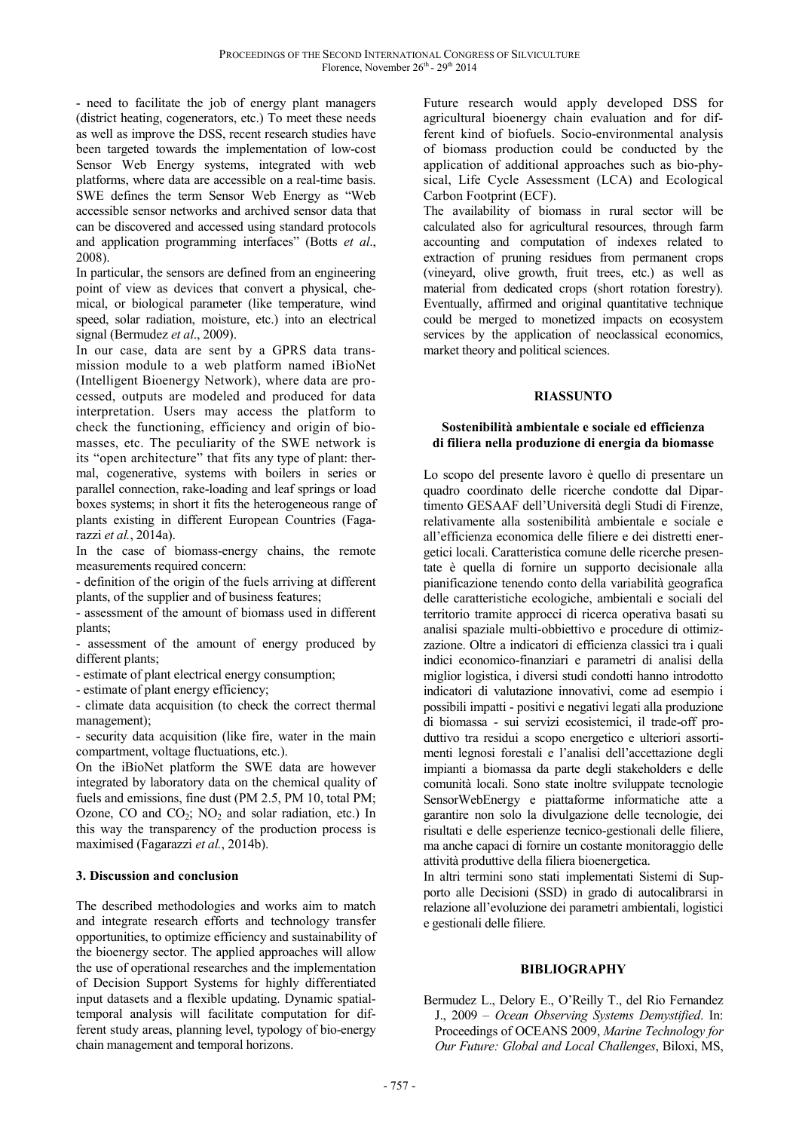- need to facilitate the job of energy plant managers (district heating, cogenerators, etc.) To meet these needs as well as improve the DSS, recent research studies have been targeted towards the implementation of low-cost Sensor Web Energy systems, integrated with web platforms, where data are accessible on a real-time basis. SWE defines the term Sensor Web Energy as "Web accessible sensor networks and archived sensor data that can be discovered and accessed using standard protocols and application programming interfaces" (Botts *et al*., 2008).

In particular, the sensors are defined from an engineering point of view as devices that convert a physical, chemical, or biological parameter (like temperature, wind speed, solar radiation, moisture, etc.) into an electrical signal (Bermudez *et al*., 2009).

In our case, data are sent by a GPRS data transmission module to a web platform named iBioNet (Intelligent Bioenergy Network), where data are processed, outputs are modeled and produced for data interpretation. Users may access the platform to check the functioning, efficiency and origin of biomasses, etc. The peculiarity of the SWE network is its "open architecture" that fits any type of plant: thermal, cogenerative, systems with boilers in series or parallel connection, rake-loading and leaf springs or load boxes systems; in short it fits the heterogeneous range of plants existing in different European Countries (Fagarazzi *et al.*, 2014a).

In the case of biomass-energy chains, the remote measurements required concern:

- definition of the origin of the fuels arriving at different plants, of the supplier and of business features;

- assessment of the amount of biomass used in different plants;

- assessment of the amount of energy produced by different plants;

- estimate of plant electrical energy consumption;

- estimate of plant energy efficiency;

- climate data acquisition (to check the correct thermal management);

- security data acquisition (like fire, water in the main compartment, voltage fluctuations, etc.).

On the iBioNet platform the SWE data are however integrated by laboratory data on the chemical quality of fuels and emissions, fine dust (PM 2.5, PM 10, total PM; Ozone, CO and  $CO_2$ ; NO<sub>2</sub> and solar radiation, etc.) In this way the transparency of the production process is maximised (Fagarazzi *et al.*, 2014b).

#### **3. Discussion and conclusion**

The described methodologies and works aim to match and integrate research efforts and technology transfer opportunities, to optimize efficiency and sustainability of the bioenergy sector. The applied approaches will allow the use of operational researches and the implementation of Decision Support Systems for highly differentiated input datasets and a flexible updating. Dynamic spatialtemporal analysis will facilitate computation for different study areas, planning level, typology of bio-energy chain management and temporal horizons.

Future research would apply developed DSS for agricultural bioenergy chain evaluation and for different kind of biofuels. Socio-environmental analysis of biomass production could be conducted by the application of additional approaches such as bio-physical, Life Cycle Assessment (LCA) and Ecological Carbon Footprint (ECF).

The availability of biomass in rural sector will be calculated also for agricultural resources, through farm accounting and computation of indexes related to extraction of pruning residues from permanent crops (vineyard, olive growth, fruit trees, etc.) as well as material from dedicated crops (short rotation forestry). Eventually, affirmed and original quantitative technique could be merged to monetized impacts on ecosystem services by the application of neoclassical economics, market theory and political sciences.

#### **RIASSUNTO**

#### **Sostenibilità ambientale e sociale ed efficienza di filiera nella produzione di energia da biomasse**

Lo scopo del presente lavoro è quello di presentare un quadro coordinato delle ricerche condotte dal Dipartimento GESAAF dell'Università degli Studi di Firenze, relativamente alla sostenibilità ambientale e sociale e all'efficienza economica delle filiere e dei distretti energetici locali. Caratteristica comune delle ricerche presentate è quella di fornire un supporto decisionale alla pianificazione tenendo conto della variabilità geografica delle caratteristiche ecologiche, ambientali e sociali del territorio tramite approcci di ricerca operativa basati su analisi spaziale multi-obbiettivo e procedure di ottimizzazione. Oltre a indicatori di efficienza classici tra i quali indici economico-finanziari e parametri di analisi della miglior logistica, i diversi studi condotti hanno introdotto indicatori di valutazione innovativi, come ad esempio i possibili impatti - positivi e negativi legati alla produzione di biomassa - sui servizi ecosistemici, il trade-off produttivo tra residui a scopo energetico e ulteriori assortimenti legnosi forestali e l'analisi dell'accettazione degli impianti a biomassa da parte degli stakeholders e delle comunità locali. Sono state inoltre sviluppate tecnologie SensorWebEnergy e piattaforme informatiche atte a garantire non solo la divulgazione delle tecnologie, dei risultati e delle esperienze tecnico-gestionali delle filiere, ma anche capaci di fornire un costante monitoraggio delle attività produttive della filiera bioenergetica.

In altri termini sono stati implementati Sistemi di Supporto alle Decisioni (SSD) in grado di autocalibrarsi in relazione all'evoluzione dei parametri ambientali, logistici e gestionali delle filiere.

#### **BIBLIOGRAPHY**

Bermudez L., Delory E., O'Reilly T., del Rio Fernandez J., 2009 – *Ocean Observing Systems Demystified*. In: Proceedings of OCEANS 2009, *Marine Technology for Our Future: Global and Local Challenges*, Biloxi, MS,